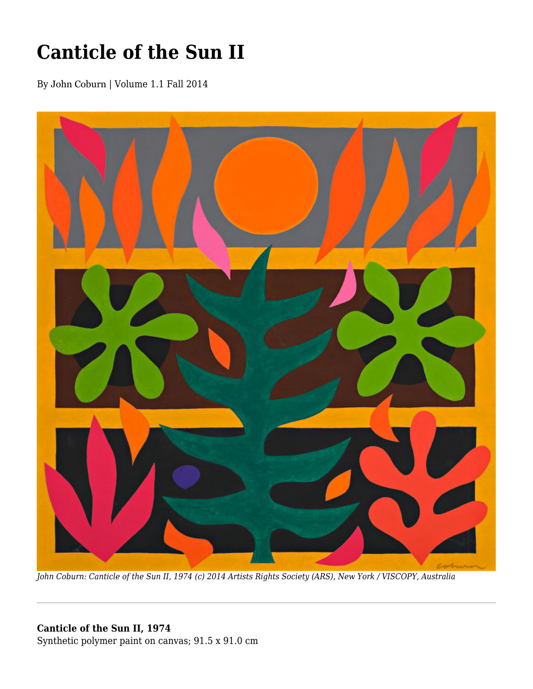## **Canticle of the Sun II**

By John Coburn | Volume 1.1 Fall 2014



*John Coburn: Canticle of the Sun II, 1974 (c) 2014 Artists Rights Society (ARS), New York / VISCOPY, Australia*

## **Canticle of the Sun II, 1974**

Synthetic polymer paint on canvas; 91.5 x 91.0 cm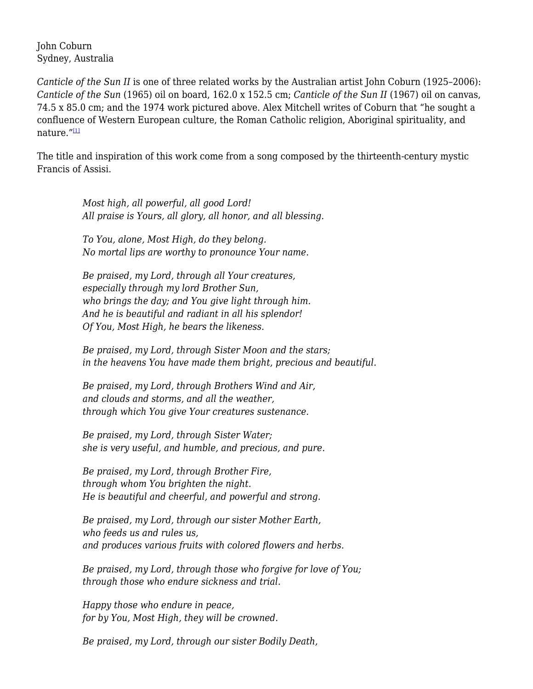John Coburn Sydney, Australia

*Canticle of the Sun II* is one of three related works by the Australian artist John Coburn (1925–2006): *Canticle of the Sun* (1965) oil on board, 162.0 x 152.5 cm; *Canticle of the Sun II* (1967) oil on canvas, 74.5 x 85.0 cm; and the 1974 work pictured above. Alex Mitchell writes of Coburn that "he sought a confluence of Western European culture, the Roman Catholic religion, Aboriginal spirituality, and nature."[1]

The title and inspiration of this work come from a song composed by the thirteenth-century mystic Francis of Assisi.

> *Most high, all powerful, all good Lord! All praise is Yours, all glory, all honor, and all blessing.*

*To You, alone, Most High, do they belong. No mortal lips are worthy to pronounce Your name.*

*Be praised, my Lord, through all Your creatures, especially through my lord Brother Sun, who brings the day; and You give light through him. And he is beautiful and radiant in all his splendor! Of You, Most High, he bears the likeness.*

*Be praised, my Lord, through Sister Moon and the stars; in the heavens You have made them bright, precious and beautiful.*

*Be praised, my Lord, through Brothers Wind and Air, and clouds and storms, and all the weather, through which You give Your creatures sustenance.*

*Be praised, my Lord, through Sister Water; she is very useful, and humble, and precious, and pure.*

*Be praised, my Lord, through Brother Fire, through whom You brighten the night. He is beautiful and cheerful, and powerful and strong.*

*Be praised, my Lord, through our sister Mother Earth, who feeds us and rules us, and produces various fruits with colored flowers and herbs.*

*Be praised, my Lord, through those who forgive for love of You; through those who endure sickness and trial.*

*Happy those who endure in peace, for by You, Most High, they will be crowned.*

*Be praised, my Lord, through our sister Bodily Death,*